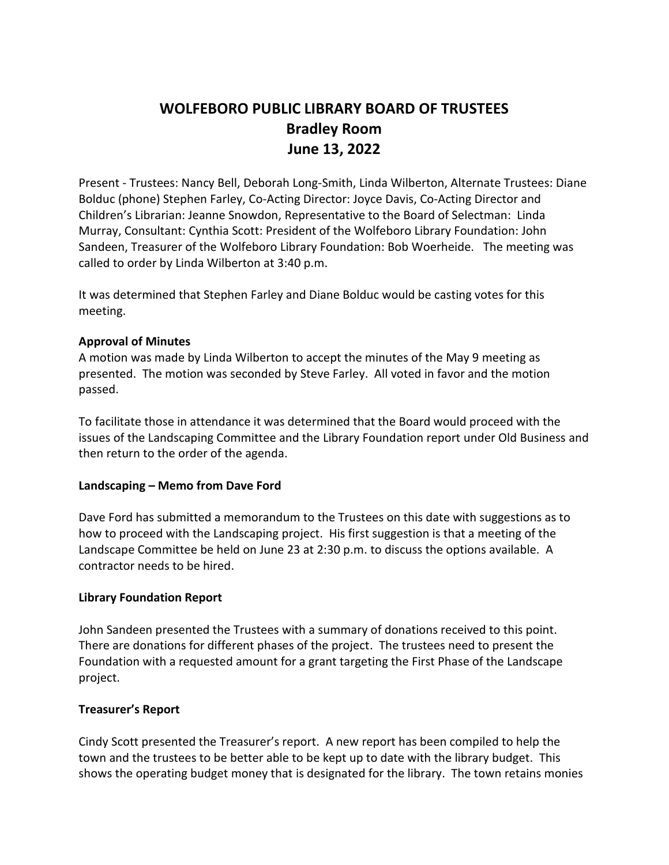# **WOLFEBORO PUBLIC LIBRARY BOARD OF TRUSTEES Bradley Room June 13, 2022**

Present - Trustees: Nancy Bell, Deborah Long-Smith, Linda Wilberton, Alternate Trustees: Diane Bolduc (phone) Stephen Farley, Co-Acting Director: Joyce Davis, Co-Acting Director and Children's Librarian: Jeanne Snowdon, Representative to the Board of Selectman: Linda Murray, Consultant: Cynthia Scott: President of the Wolfeboro Library Foundation: John Sandeen, Treasurer of the Wolfeboro Library Foundation: Bob Woerheide. The meeting was called to order by Linda Wilberton at 3:40 p.m.

It was determined that Stephen Farley and Diane Bolduc would be casting votes for this meeting.

# **Approval of Minutes**

A motion was made by Linda Wilberton to accept the minutes of the May 9 meeting as presented. The motion was seconded by Steve Farley. All voted in favor and the motion passed.

To facilitate those in attendance it was determined that the Board would proceed with the issues of the Landscaping Committee and the Library Foundation report under Old Business and then return to the order of the agenda.

# **Landscaping – Memo from Dave Ford**

Dave Ford has submitted a memorandum to the Trustees on this date with suggestions as to how to proceed with the Landscaping project. His first suggestion is that a meeting of the Landscape Committee be held on June 23 at 2:30 p.m. to discuss the options available. A contractor needs to be hired.

# **Library Foundation Report**

John Sandeen presented the Trustees with a summary of donations received to this point. There are donations for different phases of the project. The trustees need to present the Foundation with a requested amount for a grant targeting the First Phase of the Landscape project.

# **Treasurer's Report**

Cindy Scott presented the Treasurer's report. A new report has been compiled to help the town and the trustees to be better able to be kept up to date with the library budget. This shows the operating budget money that is designated for the library. The town retains monies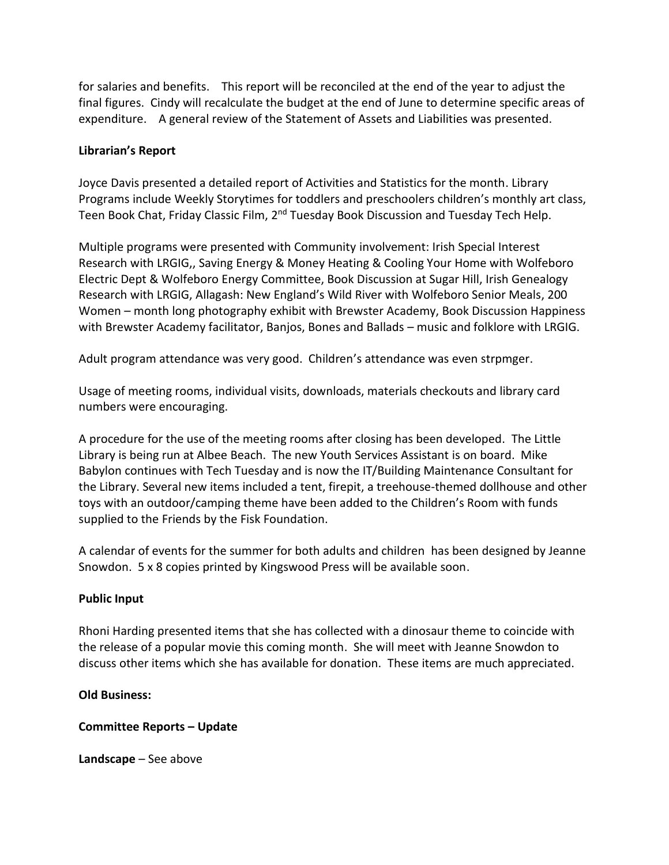for salaries and benefits. This report will be reconciled at the end of the year to adjust the final figures. Cindy will recalculate the budget at the end of June to determine specific areas of expenditure. A general review of the Statement of Assets and Liabilities was presented.

# **Librarian's Report**

Joyce Davis presented a detailed report of Activities and Statistics for the month. Library Programs include Weekly Storytimes for toddlers and preschoolers children's monthly art class, Teen Book Chat, Friday Classic Film, 2<sup>nd</sup> Tuesday Book Discussion and Tuesday Tech Help.

Multiple programs were presented with Community involvement: Irish Special Interest Research with LRGIG,, Saving Energy & Money Heating & Cooling Your Home with Wolfeboro Electric Dept & Wolfeboro Energy Committee, Book Discussion at Sugar Hill, Irish Genealogy Research with LRGIG, Allagash: New England's Wild River with Wolfeboro Senior Meals, 200 Women – month long photography exhibit with Brewster Academy, Book Discussion Happiness with Brewster Academy facilitator, Banjos, Bones and Ballads – music and folklore with LRGIG.

Adult program attendance was very good. Children's attendance was even strpmger.

Usage of meeting rooms, individual visits, downloads, materials checkouts and library card numbers were encouraging.

A procedure for the use of the meeting rooms after closing has been developed. The Little Library is being run at Albee Beach. The new Youth Services Assistant is on board. Mike Babylon continues with Tech Tuesday and is now the IT/Building Maintenance Consultant for the Library. Several new items included a tent, firepit, a treehouse-themed dollhouse and other toys with an outdoor/camping theme have been added to the Children's Room with funds supplied to the Friends by the Fisk Foundation.

A calendar of events for the summer for both adults and children has been designed by Jeanne Snowdon. 5 x 8 copies printed by Kingswood Press will be available soon.

# **Public Input**

Rhoni Harding presented items that she has collected with a dinosaur theme to coincide with the release of a popular movie this coming month. She will meet with Jeanne Snowdon to discuss other items which she has available for donation. These items are much appreciated.

# **Old Business:**

# **Committee Reports – Update**

**Landscape** – See above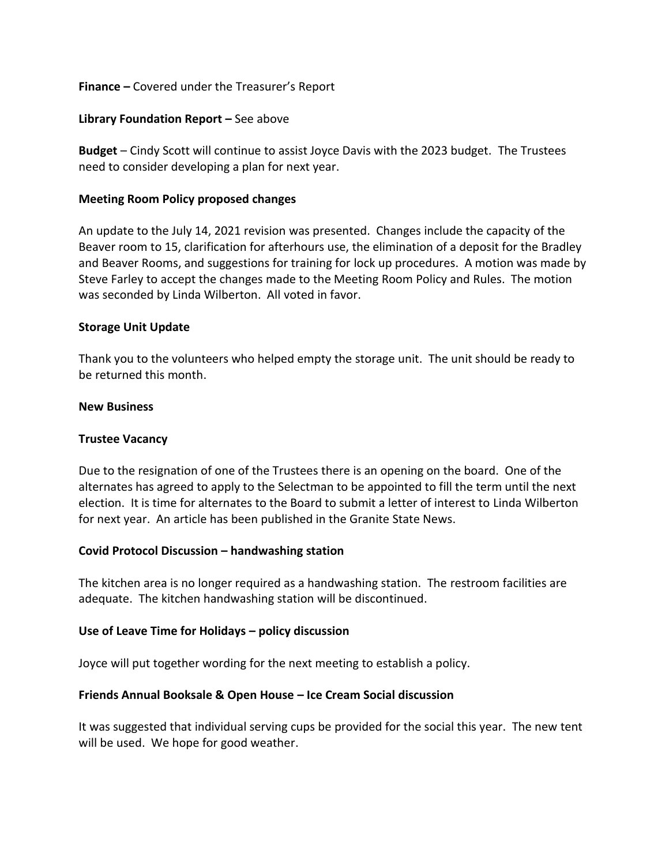# **Finance –** Covered under the Treasurer's Report

#### **Library Foundation Report –** See above

**Budget** – Cindy Scott will continue to assist Joyce Davis with the 2023 budget. The Trustees need to consider developing a plan for next year.

#### **Meeting Room Policy proposed changes**

An update to the July 14, 2021 revision was presented. Changes include the capacity of the Beaver room to 15, clarification for afterhours use, the elimination of a deposit for the Bradley and Beaver Rooms, and suggestions for training for lock up procedures. A motion was made by Steve Farley to accept the changes made to the Meeting Room Policy and Rules. The motion was seconded by Linda Wilberton. All voted in favor.

#### **Storage Unit Update**

Thank you to the volunteers who helped empty the storage unit. The unit should be ready to be returned this month.

#### **New Business**

# **Trustee Vacancy**

Due to the resignation of one of the Trustees there is an opening on the board. One of the alternates has agreed to apply to the Selectman to be appointed to fill the term until the next election. It is time for alternates to the Board to submit a letter of interest to Linda Wilberton for next year. An article has been published in the Granite State News.

#### **Covid Protocol Discussion – handwashing station**

The kitchen area is no longer required as a handwashing station. The restroom facilities are adequate. The kitchen handwashing station will be discontinued.

# **Use of Leave Time for Holidays – policy discussion**

Joyce will put together wording for the next meeting to establish a policy.

#### **Friends Annual Booksale & Open House – Ice Cream Social discussion**

It was suggested that individual serving cups be provided for the social this year. The new tent will be used. We hope for good weather.